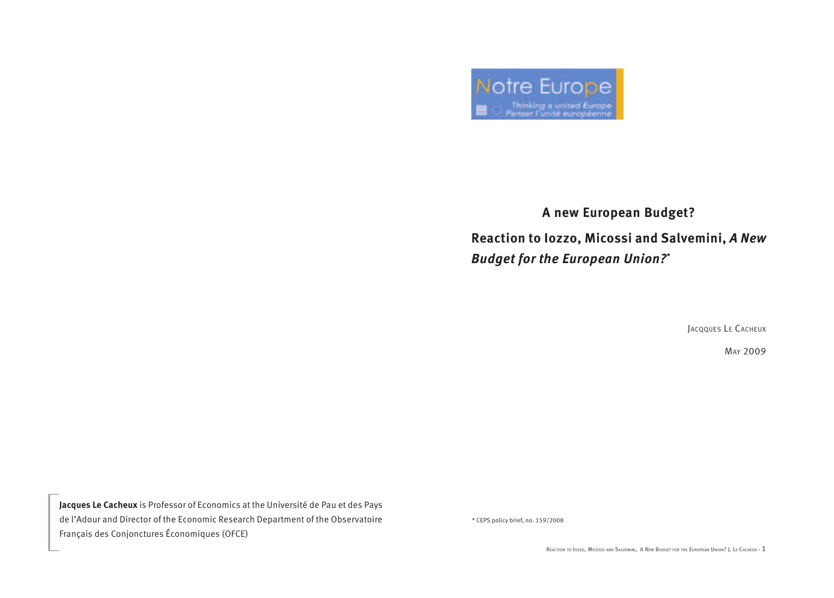

## **A new European Budget? Reaction to Iozzo, Micossi and Salvemini,** *A New Budget for the European Union?***\***

JaCQQues Le CaCheuX

may 2009

**Jacques Le Cacheux** is Professor of Economics at the Université de Pau et des Pays de l'Adour and Director of the Economic Research Department of the Observatoire Français des Conjonctures Économiques (OFCE)

\* CEPS policy brief, no. 159/2008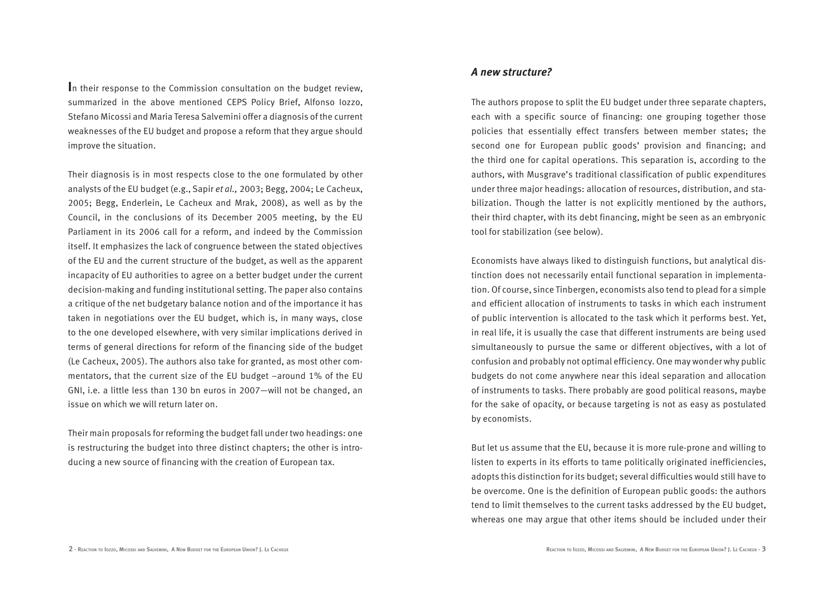**I**n their response to the Commission consultation on the budget review, summarized in the above mentioned CEPS Policy Brief, Alfonso Iozzo, Stefano Micossi and Maria Teresa Salvemini offer a diagnosis of the current weaknesses of the EU budget and propose a reform that they argue should improve the situation.

Their diagnosis is in most respects close to the one formulated by other analysts of the EU budget (e.g., Sapir *et al.,* 2003; Begg, 2004; Le Cacheux, 2005; Begg, Enderlein, Le Cacheux and Mrak, 2008), as well as by the Council, in the conclusions of its December 2005 meeting, by the EU Parliament in its 2006 call for a reform, and indeed by the Commission itself. It emphasizes the lack of congruence between the stated objectives of the EU and the current structure of the budget, as well as the apparent incapacity of EU authorities to agree on a better budget under the current decision-making and funding institutional setting. The paper also contains a critique of the net budgetary balance notion and of the importance it has taken in negotiations over the EU budget, which is, in many ways, close to the one developed elsewhere, with very similar implications derived in terms of general directions for reform of the financing side of the budget (Le Cacheux, 2005). The authors also take for granted, as most other commentators, that the current size of the EU budget –around 1% of the EU GNI, i.e. a little less than 130 bn euros in 2007—will not be changed, an issue on which we will return later on.

Their main proposals for reforming the budget fall under two headings: one is restructuring the budget into three distinct chapters; the other is introducing a new source of financing with the creation of European tax.

*A new structure?*

The authors propose to split the EU budget under three separate chapters, each with a specific source of financing: one grouping together those policies that essentially effect transfers between member states; the second one for European public goods' provision and financing; and the third one for capital operations. This separation is, according to the authors, with Musgrave's traditional classification of public expenditures under three major headings: allocation of resources, distribution, and stabilization. Though the latter is not explicitly mentioned by the authors, their third chapter, with its debt financing, might be seen as an embryonic tool for stabilization (see below).

Economists have always liked to distinguish functions, but analytical distinction does not necessarily entail functional separation in implementation. Of course, since Tinbergen, economists also tend to plead for a simple and efficient allocation of instruments to tasks in which each instrument of public intervention is allocated to the task which it performs best. Yet, in real life, it is usually the case that different instruments are being used simultaneously to pursue the same or different objectives, with a lot of confusion and probably not optimal efficiency. One may wonder why public budgets do not come anywhere near this ideal separation and allocation of instruments to tasks. There probably are good political reasons, maybe for the sake of opacity, or because targeting is not as easy as postulated by economists.

But let us assume that the EU, because it is more rule-prone and willing to listen to experts in its efforts to tame politically originated inefficiencies, adopts this distinction for its budget; several difficulties would still have to be overcome. One is the definition of European public goods: the authors tend to limit themselves to the current tasks addressed by the EU budget, whereas one may argue that other items should be included under their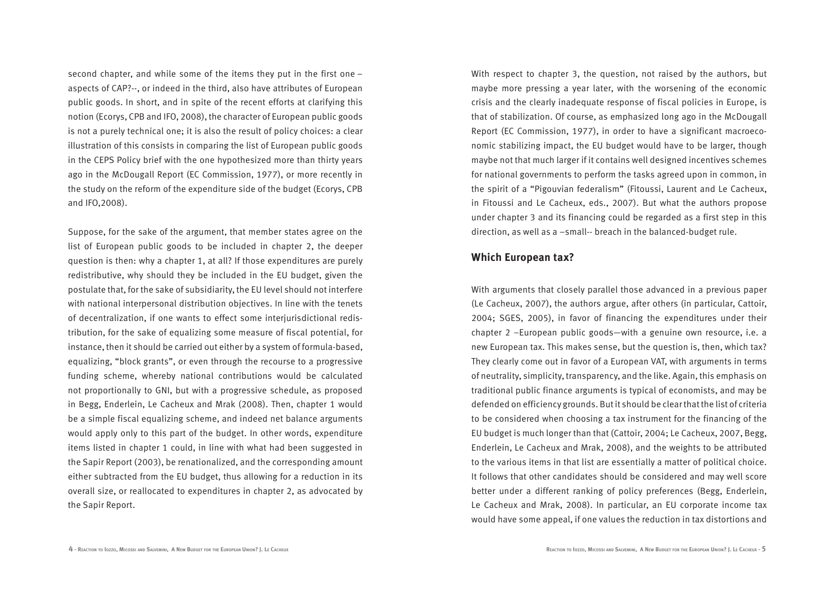second chapter, and while some of the items they put in the first one – aspects of CAP?--, or indeed in the third, also have attributes of European public goods. In short, and in spite of the recent efforts at clarifying this notion (Ecorys, CPB and IFO, 2008), the character of European public goods is not a purely technical one; it is also the result of policy choices: a clear illustration of this consists in comparing the list of European public goods in the CEPS Policy brief with the one hypothesized more than thirty years ago in the McDougall Report (EC Commission, 1977), or more recently in the study on the reform of the expenditure side of the budget (Ecorys, CPB and IFO,2008).

Suppose, for the sake of the argument, that member states agree on the list of European public goods to be included in chapter 2, the deeper question is then: why a chapter 1, at all? If those expenditures are purely redistributive, why should they be included in the EU budget, given the postulate that, for the sake of subsidiarity, the EU level should not interfere with national interpersonal distribution objectives. In line with the tenets of decentralization, if one wants to effect some interjurisdictional redistribution, for the sake of equalizing some measure of fiscal potential, for instance, then it should be carried out either by a system of formula-based, equalizing, "block grants", or even through the recourse to a progressive funding scheme, whereby national contributions would be calculated not proportionally to GNI, but with a progressive schedule, as proposed in Begg, Enderlein, Le Cacheux and Mrak (2008). Then, chapter 1 would be a simple fiscal equalizing scheme, and indeed net balance arguments would apply only to this part of the budget. In other words, expenditure items listed in chapter 1 could, in line with what had been suggested in the Sapir Report (2003), be renationalized, and the corresponding amount either subtracted from the EU budget, thus allowing for a reduction in its overall size, or reallocated to expenditures in chapter 2, as advocated by the Sapir Report.

With respect to chapter 3, the question, not raised by the authors, but maybe more pressing a year later, with the worsening of the economic crisis and the clearly inadequate response of fiscal policies in Europe, is that of stabilization. Of course, as emphasized long ago in the McDougall Report (EC Commission, 1977), in order to have a significant macroeconomic stabilizing impact, the EU budget would have to be larger, though maybe not that much larger if it contains well designed incentives schemes for national governments to perform the tasks agreed upon in common, in the spirit of a "Pigouvian federalism" (Fitoussi, Laurent and Le Cacheux, in Fitoussi and Le Cacheux, eds., 2007). But what the authors propose under chapter 3 and its financing could be regarded as a first step in this direction, as well as a –small-- breach in the balanced-budget rule.

## **Which European tax?**

With arguments that closely parallel those advanced in a previous paper (Le Cacheux, 2007), the authors argue, after others (in particular, Cattoir, 2004; SGES, 2005), in favor of financing the expenditures under their chapter 2 –European public goods—with a genuine own resource, i.e. a new European tax. This makes sense, but the question is, then, which tax? They clearly come out in favor of a European VAT, with arguments in terms of neutrality, simplicity, transparency, and the like. Again, this emphasis on traditional public finance arguments is typical of economists, and may be defended on efficiency grounds. But it should be clear that the list of criteria to be considered when choosing a tax instrument for the financing of the EU budget is much longer than that (Cattoir, 2004; Le Cacheux, 2007, Begg, Enderlein, Le Cacheux and Mrak, 2008), and the weights to be attributed to the various items in that list are essentially a matter of political choice. It follows that other candidates should be considered and may well score better under a different ranking of policy preferences (Begg, Enderlein, Le Cacheux and Mrak, 2008). In particular, an EU corporate income tax would have some appeal, if one values the reduction in tax distortions and